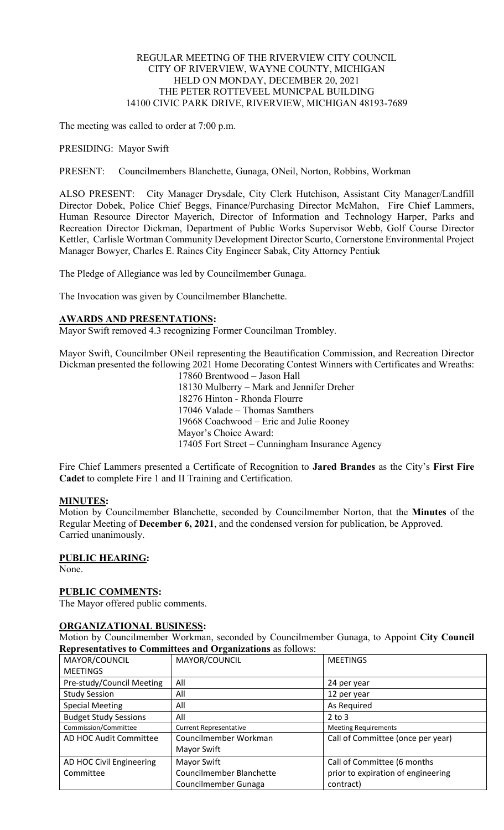### REGULAR MEETING OF THE RIVERVIEW CITY COUNCIL CITY OF RIVERVIEW, WAYNE COUNTY, MICHIGAN HELD ON MONDAY, DECEMBER 20, 2021 THE PETER ROTTEVEEL MUNICPAL BUILDING 14100 CIVIC PARK DRIVE, RIVERVIEW, MICHIGAN 48193-7689

The meeting was called to order at 7:00 p.m.

PRESIDING: Mayor Swift

PRESENT: Councilmembers Blanchette, Gunaga, ONeil, Norton, Robbins, Workman

ALSO PRESENT: City Manager Drysdale, City Clerk Hutchison, Assistant City Manager/Landfill Director Dobek, Police Chief Beggs, Finance/Purchasing Director McMahon, Fire Chief Lammers, Human Resource Director Mayerich, Director of Information and Technology Harper, Parks and Recreation Director Dickman, Department of Public Works Supervisor Webb, Golf Course Director Kettler, Carlisle Wortman Community Development Director Scurto, Cornerstone Environmental Project Manager Bowyer, Charles E. Raines City Engineer Sabak, City Attorney Pentiuk

The Pledge of Allegiance was led by Councilmember Gunaga.

The Invocation was given by Councilmember Blanchette.

### **AWARDS AND PRESENTATIONS:**

Mayor Swift removed 4.3 recognizing Former Councilman Trombley.

Mayor Swift, Councilmber ONeil representing the Beautification Commission, and Recreation Director Dickman presented the following 2021 Home Decorating Contest Winners with Certificates and Wreaths:

17860 Brentwood – Jason Hall 18130 Mulberry – Mark and Jennifer Dreher 18276 Hinton - Rhonda Flourre 17046 Valade – Thomas Samthers 19668 Coachwood – Eric and Julie Rooney Mayor's Choice Award: 17405 Fort Street – Cunningham Insurance Agency

Fire Chief Lammers presented a Certificate of Recognition to **Jared Brandes** as the City's **First Fire Cadet** to complete Fire 1 and II Training and Certification.

### **MINUTES:**

Motion by Councilmember Blanchette, seconded by Councilmember Norton, that the **Minutes** of the Regular Meeting of **December 6, 2021**, and the condensed version for publication, be Approved. Carried unanimously.

# **PUBLIC HEARING:**

None.

# **PUBLIC COMMENTS:**

The Mayor offered public comments.

### **ORGANIZATIONAL BUSINESS:**

Motion by Councilmember Workman, seconded by Councilmember Gunaga, to Appoint **City Council Representatives to Committees and Organizations** as follows:

| MAYOR/COUNCIL                | MAYOR/COUNCIL                 | <b>MEETINGS</b>                    |
|------------------------------|-------------------------------|------------------------------------|
| <b>MEETINGS</b>              |                               |                                    |
| Pre-study/Council Meeting    | All                           | 24 per year                        |
| <b>Study Session</b>         | All                           | 12 per year                        |
| <b>Special Meeting</b>       | All                           | As Required                        |
| <b>Budget Study Sessions</b> | All                           | $2$ to $3$                         |
| Commission/Committee         | <b>Current Representative</b> | <b>Meeting Requirements</b>        |
| AD HOC Audit Committee       | Councilmember Workman         | Call of Committee (once per year)  |
|                              | Mayor Swift                   |                                    |
| AD HOC Civil Engineering     | Mayor Swift                   | Call of Committee (6 months        |
| Committee                    | Councilmember Blanchette      | prior to expiration of engineering |
|                              | Councilmember Gunaga          | contract)                          |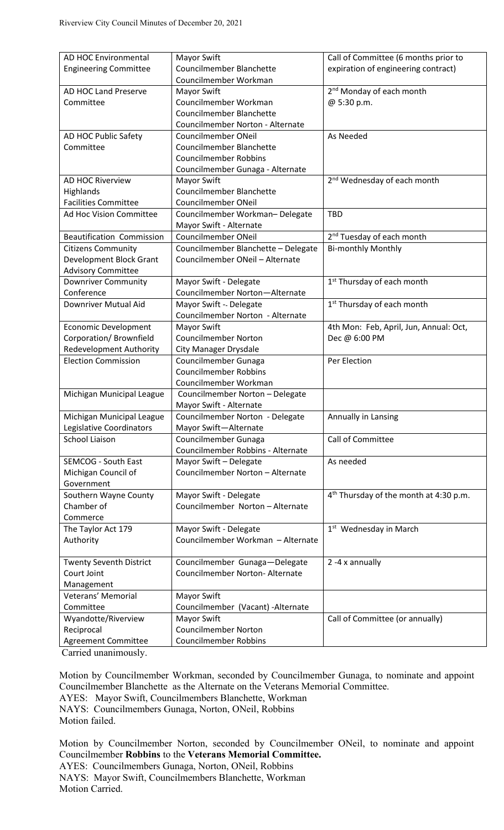| <b>Engineering Committee</b><br><b>Councilmember Blanchette</b><br>expiration of engineering contract)<br>Councilmember Workman<br>2 <sup>nd</sup> Monday of each month<br>AD HOC Land Preserve<br>Mayor Swift<br>Councilmember Workman<br>Committee<br>@ 5:30 p.m.<br>Councilmember Blanchette<br>Councilmember Norton - Alternate<br>AD HOC Public Safety<br>Councilmember ONeil<br>As Needed<br>Committee<br>Councilmember Blanchette<br><b>Councilmember Robbins</b><br>Councilmember Gunaga - Alternate<br>2 <sup>nd</sup> Wednesday of each month<br><b>AD HOC Riverview</b><br>Mayor Swift<br>Councilmember Blanchette<br>Highlands<br>Councilmember ONeil<br><b>Facilities Committee</b><br>Ad Hoc Vision Committee<br>Councilmember Workman-Delegate<br><b>TBD</b><br>Mayor Swift - Alternate<br>2 <sup>nd</sup> Tuesday of each month<br><b>Beautification Commission</b><br>Councilmember ONeil<br><b>Citizens Community</b><br>Councilmember Blanchette - Delegate<br><b>Bi-monthly Monthly</b><br>Development Block Grant<br>Councilmember ONeil - Alternate<br><b>Advisory Committee</b><br>Mayor Swift - Delegate<br>1 <sup>st</sup> Thursday of each month<br><b>Downriver Community</b><br>Conference<br>Councilmember Norton-Alternate<br>Mayor Swift - Delegate<br>1 <sup>st</sup> Thursday of each month<br>Downriver Mutual Aid<br>Councilmember Norton - Alternate<br><b>Economic Development</b><br>Mayor Swift<br>4th Mon: Feb, April, Jun, Annual: Oct,<br>Corporation/ Brownfield<br><b>Councilmember Norton</b><br>Dec @ 6:00 PM<br><b>Redevelopment Authority</b><br><b>City Manager Drysdale</b><br><b>Election Commission</b><br>Councilmember Gunaga<br>Per Election<br><b>Councilmember Robbins</b><br>Councilmember Workman<br>Michigan Municipal League<br>Councilmember Norton - Delegate<br>Mayor Swift - Alternate<br>Michigan Municipal League<br>Councilmember Norton - Delegate<br>Annually in Lansing<br>Legislative Coordinators<br>Mayor Swift-Alternate<br><b>School Liaison</b><br>Call of Committee<br>Councilmember Gunaga<br>Councilmember Robbins - Alternate<br>Mayor Swift - Delegate<br><b>SEMCOG - South East</b><br>As needed<br>Michigan Council of<br>Councilmember Norton - Alternate<br>Government<br>4 <sup>th</sup> Thursday of the month at 4:30 p.m.<br>Southern Wayne County<br>Mayor Swift - Delegate<br>Councilmember Norton - Alternate<br>Chamber of<br>Commerce<br>Mayor Swift - Delegate<br>The Taylor Act 179<br>1 <sup>st</sup> Wednesday in March<br>Authority<br>Councilmember Workman - Alternate<br>Councilmember Gunaga-Delegate<br>2 -4 x annually<br><b>Twenty Seventh District</b><br>Councilmember Norton- Alternate<br>Court Joint<br>Management<br>Mayor Swift<br>Veterans' Memorial<br>Committee<br>Councilmember (Vacant) - Alternate<br>Wyandotte/Riverview<br>Mayor Swift<br>Call of Committee (or annually)<br><b>Councilmember Norton</b><br>Reciprocal<br><b>Councilmember Robbins</b><br>Agreement Committee | AD HOC Environmental | Mayor Swift | Call of Committee (6 months prior to |
|--------------------------------------------------------------------------------------------------------------------------------------------------------------------------------------------------------------------------------------------------------------------------------------------------------------------------------------------------------------------------------------------------------------------------------------------------------------------------------------------------------------------------------------------------------------------------------------------------------------------------------------------------------------------------------------------------------------------------------------------------------------------------------------------------------------------------------------------------------------------------------------------------------------------------------------------------------------------------------------------------------------------------------------------------------------------------------------------------------------------------------------------------------------------------------------------------------------------------------------------------------------------------------------------------------------------------------------------------------------------------------------------------------------------------------------------------------------------------------------------------------------------------------------------------------------------------------------------------------------------------------------------------------------------------------------------------------------------------------------------------------------------------------------------------------------------------------------------------------------------------------------------------------------------------------------------------------------------------------------------------------------------------------------------------------------------------------------------------------------------------------------------------------------------------------------------------------------------------------------------------------------------------------------------------------------------------------------------------------------------------------------------------------------------------------------------------------------------------------------------------------------------------------------------------------------------------------------------------------------------------------------------------------------------------------------------------------------------------------------------------------------------------------------------------------------------------------------------------------------------------------------------------------------------------------------------------------------------------------------------------------|----------------------|-------------|--------------------------------------|
|                                                                                                                                                                                                                                                                                                                                                                                                                                                                                                                                                                                                                                                                                                                                                                                                                                                                                                                                                                                                                                                                                                                                                                                                                                                                                                                                                                                                                                                                                                                                                                                                                                                                                                                                                                                                                                                                                                                                                                                                                                                                                                                                                                                                                                                                                                                                                                                                                                                                                                                                                                                                                                                                                                                                                                                                                                                                                                                                                                                                        |                      |             |                                      |
|                                                                                                                                                                                                                                                                                                                                                                                                                                                                                                                                                                                                                                                                                                                                                                                                                                                                                                                                                                                                                                                                                                                                                                                                                                                                                                                                                                                                                                                                                                                                                                                                                                                                                                                                                                                                                                                                                                                                                                                                                                                                                                                                                                                                                                                                                                                                                                                                                                                                                                                                                                                                                                                                                                                                                                                                                                                                                                                                                                                                        |                      |             |                                      |
|                                                                                                                                                                                                                                                                                                                                                                                                                                                                                                                                                                                                                                                                                                                                                                                                                                                                                                                                                                                                                                                                                                                                                                                                                                                                                                                                                                                                                                                                                                                                                                                                                                                                                                                                                                                                                                                                                                                                                                                                                                                                                                                                                                                                                                                                                                                                                                                                                                                                                                                                                                                                                                                                                                                                                                                                                                                                                                                                                                                                        |                      |             |                                      |
|                                                                                                                                                                                                                                                                                                                                                                                                                                                                                                                                                                                                                                                                                                                                                                                                                                                                                                                                                                                                                                                                                                                                                                                                                                                                                                                                                                                                                                                                                                                                                                                                                                                                                                                                                                                                                                                                                                                                                                                                                                                                                                                                                                                                                                                                                                                                                                                                                                                                                                                                                                                                                                                                                                                                                                                                                                                                                                                                                                                                        |                      |             |                                      |
|                                                                                                                                                                                                                                                                                                                                                                                                                                                                                                                                                                                                                                                                                                                                                                                                                                                                                                                                                                                                                                                                                                                                                                                                                                                                                                                                                                                                                                                                                                                                                                                                                                                                                                                                                                                                                                                                                                                                                                                                                                                                                                                                                                                                                                                                                                                                                                                                                                                                                                                                                                                                                                                                                                                                                                                                                                                                                                                                                                                                        |                      |             |                                      |
|                                                                                                                                                                                                                                                                                                                                                                                                                                                                                                                                                                                                                                                                                                                                                                                                                                                                                                                                                                                                                                                                                                                                                                                                                                                                                                                                                                                                                                                                                                                                                                                                                                                                                                                                                                                                                                                                                                                                                                                                                                                                                                                                                                                                                                                                                                                                                                                                                                                                                                                                                                                                                                                                                                                                                                                                                                                                                                                                                                                                        |                      |             |                                      |
|                                                                                                                                                                                                                                                                                                                                                                                                                                                                                                                                                                                                                                                                                                                                                                                                                                                                                                                                                                                                                                                                                                                                                                                                                                                                                                                                                                                                                                                                                                                                                                                                                                                                                                                                                                                                                                                                                                                                                                                                                                                                                                                                                                                                                                                                                                                                                                                                                                                                                                                                                                                                                                                                                                                                                                                                                                                                                                                                                                                                        |                      |             |                                      |
|                                                                                                                                                                                                                                                                                                                                                                                                                                                                                                                                                                                                                                                                                                                                                                                                                                                                                                                                                                                                                                                                                                                                                                                                                                                                                                                                                                                                                                                                                                                                                                                                                                                                                                                                                                                                                                                                                                                                                                                                                                                                                                                                                                                                                                                                                                                                                                                                                                                                                                                                                                                                                                                                                                                                                                                                                                                                                                                                                                                                        |                      |             |                                      |
|                                                                                                                                                                                                                                                                                                                                                                                                                                                                                                                                                                                                                                                                                                                                                                                                                                                                                                                                                                                                                                                                                                                                                                                                                                                                                                                                                                                                                                                                                                                                                                                                                                                                                                                                                                                                                                                                                                                                                                                                                                                                                                                                                                                                                                                                                                                                                                                                                                                                                                                                                                                                                                                                                                                                                                                                                                                                                                                                                                                                        |                      |             |                                      |
|                                                                                                                                                                                                                                                                                                                                                                                                                                                                                                                                                                                                                                                                                                                                                                                                                                                                                                                                                                                                                                                                                                                                                                                                                                                                                                                                                                                                                                                                                                                                                                                                                                                                                                                                                                                                                                                                                                                                                                                                                                                                                                                                                                                                                                                                                                                                                                                                                                                                                                                                                                                                                                                                                                                                                                                                                                                                                                                                                                                                        |                      |             |                                      |
|                                                                                                                                                                                                                                                                                                                                                                                                                                                                                                                                                                                                                                                                                                                                                                                                                                                                                                                                                                                                                                                                                                                                                                                                                                                                                                                                                                                                                                                                                                                                                                                                                                                                                                                                                                                                                                                                                                                                                                                                                                                                                                                                                                                                                                                                                                                                                                                                                                                                                                                                                                                                                                                                                                                                                                                                                                                                                                                                                                                                        |                      |             |                                      |
|                                                                                                                                                                                                                                                                                                                                                                                                                                                                                                                                                                                                                                                                                                                                                                                                                                                                                                                                                                                                                                                                                                                                                                                                                                                                                                                                                                                                                                                                                                                                                                                                                                                                                                                                                                                                                                                                                                                                                                                                                                                                                                                                                                                                                                                                                                                                                                                                                                                                                                                                                                                                                                                                                                                                                                                                                                                                                                                                                                                                        |                      |             |                                      |
|                                                                                                                                                                                                                                                                                                                                                                                                                                                                                                                                                                                                                                                                                                                                                                                                                                                                                                                                                                                                                                                                                                                                                                                                                                                                                                                                                                                                                                                                                                                                                                                                                                                                                                                                                                                                                                                                                                                                                                                                                                                                                                                                                                                                                                                                                                                                                                                                                                                                                                                                                                                                                                                                                                                                                                                                                                                                                                                                                                                                        |                      |             |                                      |
|                                                                                                                                                                                                                                                                                                                                                                                                                                                                                                                                                                                                                                                                                                                                                                                                                                                                                                                                                                                                                                                                                                                                                                                                                                                                                                                                                                                                                                                                                                                                                                                                                                                                                                                                                                                                                                                                                                                                                                                                                                                                                                                                                                                                                                                                                                                                                                                                                                                                                                                                                                                                                                                                                                                                                                                                                                                                                                                                                                                                        |                      |             |                                      |
|                                                                                                                                                                                                                                                                                                                                                                                                                                                                                                                                                                                                                                                                                                                                                                                                                                                                                                                                                                                                                                                                                                                                                                                                                                                                                                                                                                                                                                                                                                                                                                                                                                                                                                                                                                                                                                                                                                                                                                                                                                                                                                                                                                                                                                                                                                                                                                                                                                                                                                                                                                                                                                                                                                                                                                                                                                                                                                                                                                                                        |                      |             |                                      |
|                                                                                                                                                                                                                                                                                                                                                                                                                                                                                                                                                                                                                                                                                                                                                                                                                                                                                                                                                                                                                                                                                                                                                                                                                                                                                                                                                                                                                                                                                                                                                                                                                                                                                                                                                                                                                                                                                                                                                                                                                                                                                                                                                                                                                                                                                                                                                                                                                                                                                                                                                                                                                                                                                                                                                                                                                                                                                                                                                                                                        |                      |             |                                      |
|                                                                                                                                                                                                                                                                                                                                                                                                                                                                                                                                                                                                                                                                                                                                                                                                                                                                                                                                                                                                                                                                                                                                                                                                                                                                                                                                                                                                                                                                                                                                                                                                                                                                                                                                                                                                                                                                                                                                                                                                                                                                                                                                                                                                                                                                                                                                                                                                                                                                                                                                                                                                                                                                                                                                                                                                                                                                                                                                                                                                        |                      |             |                                      |
|                                                                                                                                                                                                                                                                                                                                                                                                                                                                                                                                                                                                                                                                                                                                                                                                                                                                                                                                                                                                                                                                                                                                                                                                                                                                                                                                                                                                                                                                                                                                                                                                                                                                                                                                                                                                                                                                                                                                                                                                                                                                                                                                                                                                                                                                                                                                                                                                                                                                                                                                                                                                                                                                                                                                                                                                                                                                                                                                                                                                        |                      |             |                                      |
|                                                                                                                                                                                                                                                                                                                                                                                                                                                                                                                                                                                                                                                                                                                                                                                                                                                                                                                                                                                                                                                                                                                                                                                                                                                                                                                                                                                                                                                                                                                                                                                                                                                                                                                                                                                                                                                                                                                                                                                                                                                                                                                                                                                                                                                                                                                                                                                                                                                                                                                                                                                                                                                                                                                                                                                                                                                                                                                                                                                                        |                      |             |                                      |
|                                                                                                                                                                                                                                                                                                                                                                                                                                                                                                                                                                                                                                                                                                                                                                                                                                                                                                                                                                                                                                                                                                                                                                                                                                                                                                                                                                                                                                                                                                                                                                                                                                                                                                                                                                                                                                                                                                                                                                                                                                                                                                                                                                                                                                                                                                                                                                                                                                                                                                                                                                                                                                                                                                                                                                                                                                                                                                                                                                                                        |                      |             |                                      |
|                                                                                                                                                                                                                                                                                                                                                                                                                                                                                                                                                                                                                                                                                                                                                                                                                                                                                                                                                                                                                                                                                                                                                                                                                                                                                                                                                                                                                                                                                                                                                                                                                                                                                                                                                                                                                                                                                                                                                                                                                                                                                                                                                                                                                                                                                                                                                                                                                                                                                                                                                                                                                                                                                                                                                                                                                                                                                                                                                                                                        |                      |             |                                      |
|                                                                                                                                                                                                                                                                                                                                                                                                                                                                                                                                                                                                                                                                                                                                                                                                                                                                                                                                                                                                                                                                                                                                                                                                                                                                                                                                                                                                                                                                                                                                                                                                                                                                                                                                                                                                                                                                                                                                                                                                                                                                                                                                                                                                                                                                                                                                                                                                                                                                                                                                                                                                                                                                                                                                                                                                                                                                                                                                                                                                        |                      |             |                                      |
|                                                                                                                                                                                                                                                                                                                                                                                                                                                                                                                                                                                                                                                                                                                                                                                                                                                                                                                                                                                                                                                                                                                                                                                                                                                                                                                                                                                                                                                                                                                                                                                                                                                                                                                                                                                                                                                                                                                                                                                                                                                                                                                                                                                                                                                                                                                                                                                                                                                                                                                                                                                                                                                                                                                                                                                                                                                                                                                                                                                                        |                      |             |                                      |
|                                                                                                                                                                                                                                                                                                                                                                                                                                                                                                                                                                                                                                                                                                                                                                                                                                                                                                                                                                                                                                                                                                                                                                                                                                                                                                                                                                                                                                                                                                                                                                                                                                                                                                                                                                                                                                                                                                                                                                                                                                                                                                                                                                                                                                                                                                                                                                                                                                                                                                                                                                                                                                                                                                                                                                                                                                                                                                                                                                                                        |                      |             |                                      |
|                                                                                                                                                                                                                                                                                                                                                                                                                                                                                                                                                                                                                                                                                                                                                                                                                                                                                                                                                                                                                                                                                                                                                                                                                                                                                                                                                                                                                                                                                                                                                                                                                                                                                                                                                                                                                                                                                                                                                                                                                                                                                                                                                                                                                                                                                                                                                                                                                                                                                                                                                                                                                                                                                                                                                                                                                                                                                                                                                                                                        |                      |             |                                      |
|                                                                                                                                                                                                                                                                                                                                                                                                                                                                                                                                                                                                                                                                                                                                                                                                                                                                                                                                                                                                                                                                                                                                                                                                                                                                                                                                                                                                                                                                                                                                                                                                                                                                                                                                                                                                                                                                                                                                                                                                                                                                                                                                                                                                                                                                                                                                                                                                                                                                                                                                                                                                                                                                                                                                                                                                                                                                                                                                                                                                        |                      |             |                                      |
|                                                                                                                                                                                                                                                                                                                                                                                                                                                                                                                                                                                                                                                                                                                                                                                                                                                                                                                                                                                                                                                                                                                                                                                                                                                                                                                                                                                                                                                                                                                                                                                                                                                                                                                                                                                                                                                                                                                                                                                                                                                                                                                                                                                                                                                                                                                                                                                                                                                                                                                                                                                                                                                                                                                                                                                                                                                                                                                                                                                                        |                      |             |                                      |
|                                                                                                                                                                                                                                                                                                                                                                                                                                                                                                                                                                                                                                                                                                                                                                                                                                                                                                                                                                                                                                                                                                                                                                                                                                                                                                                                                                                                                                                                                                                                                                                                                                                                                                                                                                                                                                                                                                                                                                                                                                                                                                                                                                                                                                                                                                                                                                                                                                                                                                                                                                                                                                                                                                                                                                                                                                                                                                                                                                                                        |                      |             |                                      |
|                                                                                                                                                                                                                                                                                                                                                                                                                                                                                                                                                                                                                                                                                                                                                                                                                                                                                                                                                                                                                                                                                                                                                                                                                                                                                                                                                                                                                                                                                                                                                                                                                                                                                                                                                                                                                                                                                                                                                                                                                                                                                                                                                                                                                                                                                                                                                                                                                                                                                                                                                                                                                                                                                                                                                                                                                                                                                                                                                                                                        |                      |             |                                      |
|                                                                                                                                                                                                                                                                                                                                                                                                                                                                                                                                                                                                                                                                                                                                                                                                                                                                                                                                                                                                                                                                                                                                                                                                                                                                                                                                                                                                                                                                                                                                                                                                                                                                                                                                                                                                                                                                                                                                                                                                                                                                                                                                                                                                                                                                                                                                                                                                                                                                                                                                                                                                                                                                                                                                                                                                                                                                                                                                                                                                        |                      |             |                                      |
|                                                                                                                                                                                                                                                                                                                                                                                                                                                                                                                                                                                                                                                                                                                                                                                                                                                                                                                                                                                                                                                                                                                                                                                                                                                                                                                                                                                                                                                                                                                                                                                                                                                                                                                                                                                                                                                                                                                                                                                                                                                                                                                                                                                                                                                                                                                                                                                                                                                                                                                                                                                                                                                                                                                                                                                                                                                                                                                                                                                                        |                      |             |                                      |
|                                                                                                                                                                                                                                                                                                                                                                                                                                                                                                                                                                                                                                                                                                                                                                                                                                                                                                                                                                                                                                                                                                                                                                                                                                                                                                                                                                                                                                                                                                                                                                                                                                                                                                                                                                                                                                                                                                                                                                                                                                                                                                                                                                                                                                                                                                                                                                                                                                                                                                                                                                                                                                                                                                                                                                                                                                                                                                                                                                                                        |                      |             |                                      |
|                                                                                                                                                                                                                                                                                                                                                                                                                                                                                                                                                                                                                                                                                                                                                                                                                                                                                                                                                                                                                                                                                                                                                                                                                                                                                                                                                                                                                                                                                                                                                                                                                                                                                                                                                                                                                                                                                                                                                                                                                                                                                                                                                                                                                                                                                                                                                                                                                                                                                                                                                                                                                                                                                                                                                                                                                                                                                                                                                                                                        |                      |             |                                      |
|                                                                                                                                                                                                                                                                                                                                                                                                                                                                                                                                                                                                                                                                                                                                                                                                                                                                                                                                                                                                                                                                                                                                                                                                                                                                                                                                                                                                                                                                                                                                                                                                                                                                                                                                                                                                                                                                                                                                                                                                                                                                                                                                                                                                                                                                                                                                                                                                                                                                                                                                                                                                                                                                                                                                                                                                                                                                                                                                                                                                        |                      |             |                                      |
|                                                                                                                                                                                                                                                                                                                                                                                                                                                                                                                                                                                                                                                                                                                                                                                                                                                                                                                                                                                                                                                                                                                                                                                                                                                                                                                                                                                                                                                                                                                                                                                                                                                                                                                                                                                                                                                                                                                                                                                                                                                                                                                                                                                                                                                                                                                                                                                                                                                                                                                                                                                                                                                                                                                                                                                                                                                                                                                                                                                                        |                      |             |                                      |
|                                                                                                                                                                                                                                                                                                                                                                                                                                                                                                                                                                                                                                                                                                                                                                                                                                                                                                                                                                                                                                                                                                                                                                                                                                                                                                                                                                                                                                                                                                                                                                                                                                                                                                                                                                                                                                                                                                                                                                                                                                                                                                                                                                                                                                                                                                                                                                                                                                                                                                                                                                                                                                                                                                                                                                                                                                                                                                                                                                                                        |                      |             |                                      |
|                                                                                                                                                                                                                                                                                                                                                                                                                                                                                                                                                                                                                                                                                                                                                                                                                                                                                                                                                                                                                                                                                                                                                                                                                                                                                                                                                                                                                                                                                                                                                                                                                                                                                                                                                                                                                                                                                                                                                                                                                                                                                                                                                                                                                                                                                                                                                                                                                                                                                                                                                                                                                                                                                                                                                                                                                                                                                                                                                                                                        |                      |             |                                      |
|                                                                                                                                                                                                                                                                                                                                                                                                                                                                                                                                                                                                                                                                                                                                                                                                                                                                                                                                                                                                                                                                                                                                                                                                                                                                                                                                                                                                                                                                                                                                                                                                                                                                                                                                                                                                                                                                                                                                                                                                                                                                                                                                                                                                                                                                                                                                                                                                                                                                                                                                                                                                                                                                                                                                                                                                                                                                                                                                                                                                        |                      |             |                                      |
|                                                                                                                                                                                                                                                                                                                                                                                                                                                                                                                                                                                                                                                                                                                                                                                                                                                                                                                                                                                                                                                                                                                                                                                                                                                                                                                                                                                                                                                                                                                                                                                                                                                                                                                                                                                                                                                                                                                                                                                                                                                                                                                                                                                                                                                                                                                                                                                                                                                                                                                                                                                                                                                                                                                                                                                                                                                                                                                                                                                                        |                      |             |                                      |
|                                                                                                                                                                                                                                                                                                                                                                                                                                                                                                                                                                                                                                                                                                                                                                                                                                                                                                                                                                                                                                                                                                                                                                                                                                                                                                                                                                                                                                                                                                                                                                                                                                                                                                                                                                                                                                                                                                                                                                                                                                                                                                                                                                                                                                                                                                                                                                                                                                                                                                                                                                                                                                                                                                                                                                                                                                                                                                                                                                                                        |                      |             |                                      |
|                                                                                                                                                                                                                                                                                                                                                                                                                                                                                                                                                                                                                                                                                                                                                                                                                                                                                                                                                                                                                                                                                                                                                                                                                                                                                                                                                                                                                                                                                                                                                                                                                                                                                                                                                                                                                                                                                                                                                                                                                                                                                                                                                                                                                                                                                                                                                                                                                                                                                                                                                                                                                                                                                                                                                                                                                                                                                                                                                                                                        |                      |             |                                      |
|                                                                                                                                                                                                                                                                                                                                                                                                                                                                                                                                                                                                                                                                                                                                                                                                                                                                                                                                                                                                                                                                                                                                                                                                                                                                                                                                                                                                                                                                                                                                                                                                                                                                                                                                                                                                                                                                                                                                                                                                                                                                                                                                                                                                                                                                                                                                                                                                                                                                                                                                                                                                                                                                                                                                                                                                                                                                                                                                                                                                        |                      |             |                                      |
|                                                                                                                                                                                                                                                                                                                                                                                                                                                                                                                                                                                                                                                                                                                                                                                                                                                                                                                                                                                                                                                                                                                                                                                                                                                                                                                                                                                                                                                                                                                                                                                                                                                                                                                                                                                                                                                                                                                                                                                                                                                                                                                                                                                                                                                                                                                                                                                                                                                                                                                                                                                                                                                                                                                                                                                                                                                                                                                                                                                                        |                      |             |                                      |
|                                                                                                                                                                                                                                                                                                                                                                                                                                                                                                                                                                                                                                                                                                                                                                                                                                                                                                                                                                                                                                                                                                                                                                                                                                                                                                                                                                                                                                                                                                                                                                                                                                                                                                                                                                                                                                                                                                                                                                                                                                                                                                                                                                                                                                                                                                                                                                                                                                                                                                                                                                                                                                                                                                                                                                                                                                                                                                                                                                                                        |                      |             |                                      |
|                                                                                                                                                                                                                                                                                                                                                                                                                                                                                                                                                                                                                                                                                                                                                                                                                                                                                                                                                                                                                                                                                                                                                                                                                                                                                                                                                                                                                                                                                                                                                                                                                                                                                                                                                                                                                                                                                                                                                                                                                                                                                                                                                                                                                                                                                                                                                                                                                                                                                                                                                                                                                                                                                                                                                                                                                                                                                                                                                                                                        |                      |             |                                      |
|                                                                                                                                                                                                                                                                                                                                                                                                                                                                                                                                                                                                                                                                                                                                                                                                                                                                                                                                                                                                                                                                                                                                                                                                                                                                                                                                                                                                                                                                                                                                                                                                                                                                                                                                                                                                                                                                                                                                                                                                                                                                                                                                                                                                                                                                                                                                                                                                                                                                                                                                                                                                                                                                                                                                                                                                                                                                                                                                                                                                        |                      |             |                                      |
|                                                                                                                                                                                                                                                                                                                                                                                                                                                                                                                                                                                                                                                                                                                                                                                                                                                                                                                                                                                                                                                                                                                                                                                                                                                                                                                                                                                                                                                                                                                                                                                                                                                                                                                                                                                                                                                                                                                                                                                                                                                                                                                                                                                                                                                                                                                                                                                                                                                                                                                                                                                                                                                                                                                                                                                                                                                                                                                                                                                                        |                      |             |                                      |
|                                                                                                                                                                                                                                                                                                                                                                                                                                                                                                                                                                                                                                                                                                                                                                                                                                                                                                                                                                                                                                                                                                                                                                                                                                                                                                                                                                                                                                                                                                                                                                                                                                                                                                                                                                                                                                                                                                                                                                                                                                                                                                                                                                                                                                                                                                                                                                                                                                                                                                                                                                                                                                                                                                                                                                                                                                                                                                                                                                                                        |                      |             |                                      |
|                                                                                                                                                                                                                                                                                                                                                                                                                                                                                                                                                                                                                                                                                                                                                                                                                                                                                                                                                                                                                                                                                                                                                                                                                                                                                                                                                                                                                                                                                                                                                                                                                                                                                                                                                                                                                                                                                                                                                                                                                                                                                                                                                                                                                                                                                                                                                                                                                                                                                                                                                                                                                                                                                                                                                                                                                                                                                                                                                                                                        |                      |             |                                      |
|                                                                                                                                                                                                                                                                                                                                                                                                                                                                                                                                                                                                                                                                                                                                                                                                                                                                                                                                                                                                                                                                                                                                                                                                                                                                                                                                                                                                                                                                                                                                                                                                                                                                                                                                                                                                                                                                                                                                                                                                                                                                                                                                                                                                                                                                                                                                                                                                                                                                                                                                                                                                                                                                                                                                                                                                                                                                                                                                                                                                        |                      |             |                                      |
|                                                                                                                                                                                                                                                                                                                                                                                                                                                                                                                                                                                                                                                                                                                                                                                                                                                                                                                                                                                                                                                                                                                                                                                                                                                                                                                                                                                                                                                                                                                                                                                                                                                                                                                                                                                                                                                                                                                                                                                                                                                                                                                                                                                                                                                                                                                                                                                                                                                                                                                                                                                                                                                                                                                                                                                                                                                                                                                                                                                                        |                      |             |                                      |
|                                                                                                                                                                                                                                                                                                                                                                                                                                                                                                                                                                                                                                                                                                                                                                                                                                                                                                                                                                                                                                                                                                                                                                                                                                                                                                                                                                                                                                                                                                                                                                                                                                                                                                                                                                                                                                                                                                                                                                                                                                                                                                                                                                                                                                                                                                                                                                                                                                                                                                                                                                                                                                                                                                                                                                                                                                                                                                                                                                                                        |                      |             |                                      |

Carried unanimously.

Motion by Councilmember Workman, seconded by Councilmember Gunaga, to nominate and appoint Councilmember Blanchette as the Alternate on the Veterans Memorial Committee. AYES: Mayor Swift, Councilmembers Blanchette, Workman NAYS: Councilmembers Gunaga, Norton, ONeil, Robbins Motion failed.

Motion by Councilmember Norton, seconded by Councilmember ONeil, to nominate and appoint Councilmember **Robbins** to the **Veterans Memorial Committee.**  AYES: Councilmembers Gunaga, Norton, ONeil, Robbins NAYS: Mayor Swift, Councilmembers Blanchette, Workman Motion Carried.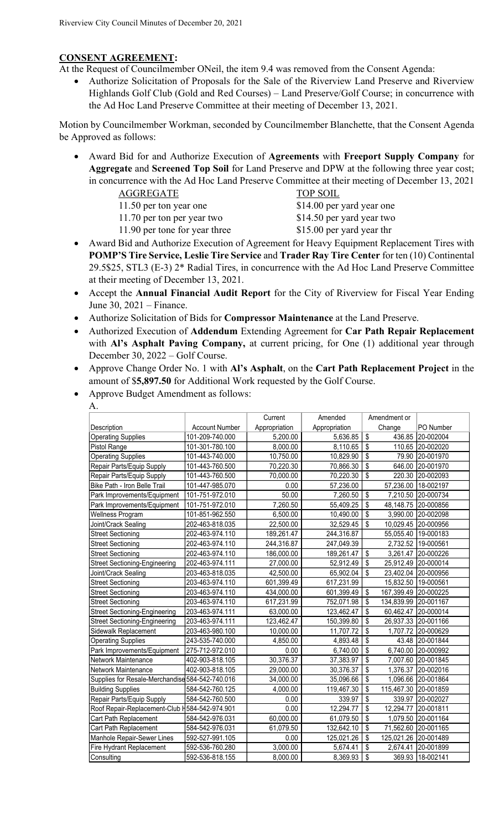### **CONSENT AGREEMENT:**

At the Request of Councilmember ONeil, the item 9.4 was removed from the Consent Agenda:

• Authorize Solicitation of Proposals for the Sale of the Riverview Land Preserve and Riverview Highlands Golf Club (Gold and Red Courses) – Land Preserve/Golf Course; in concurrence with the Ad Hoc Land Preserve Committee at their meeting of December 13, 2021.

Motion by Councilmember Workman, seconded by Councilmember Blanchette, that the Consent Agenda be Approved as follows:

- Award Bid for and Authorize Execution of **Agreements** with **Freeport Supply Company** for **Aggregate** and **Screened Top Soil** for Land Preserve and DPW at the following three year cost; in concurrence with the Ad Hoc Land Preserve Committee at their meeting of December 13, 2021
	- AGGREGATE TOP SOIL
		-
	-
	-

11.50 per ton year one \$14.00 per yard year one 11.70 per ton per year two \$14.50 per yard year two

- 11.90 per tone for year three \$15.00 per yard year thr
- Award Bid and Authorize Execution of Agreement for Heavy Equipment Replacement Tires with **POMP'S Tire Service, Leslie Tire Service** and **Trader Ray Tire Center** for ten (10) Continental 29.5\$25, STL3 (E-3) 2\* Radial Tires, in concurrence with the Ad Hoc Land Preserve Committee at their meeting of December 13, 2021.
- Accept the **Annual Financial Audit Report** for the City of Riverview for Fiscal Year Ending June 30, 2021 – Finance.
- Authorize Solicitation of Bids for **Compressor Maintenance** at the Land Preserve.
- Authorized Execution of **Addendum** Extending Agreement for **Car Path Repair Replacement** with **Al's Asphalt Paving Company,** at current pricing, for One (1) additional year through December 30, 2022 – Golf Course.
- Approve Change Order No. 1 with **Al's Asphalt**, on the **Cart Path Replacement Project** in the amount of \$**5,897.50** for Additional Work requested by the Golf Course.
- Approve Budget Amendment as follows:

| A.                                   |                       |               |               |                                       |                    |
|--------------------------------------|-----------------------|---------------|---------------|---------------------------------------|--------------------|
|                                      |                       | Current       | Amended       | Amendment or                          |                    |
| Description                          | <b>Account Number</b> | Appropriation | Appropriation | Change                                | PO Number          |
| <b>Operating Supplies</b>            | 101-209-740.000       | 5,200.00      | 5,636.85      | $\overline{\$}$<br>436.85             | 20-002004          |
| Pistol Range                         | 101-301-780.100       | 8,000.00      | 8,110.65      | $\overline{\$}$<br>110.65             | 20-002020          |
| Operating Supplies                   | 101-443-740.000       | 10,750.00     | 10,829.90     | $\overline{\mathbf{s}}$<br>79.90      | 20-001970          |
| Repair Parts/Equip Supply            | 101-443-760.500       | 70,220.30     | 70,866.30     | $\overline{\mathbf{s}}$<br>646.00     | 20-001970          |
| Repair Parts/Equip Supply            | 101-443-760.500       | 70,000.00     | 70,220.30     | $\mathbf{\hat{s}}$<br>220.30          | 20-002093          |
| Bike Path - Iron Belle Trail         | 101-447-985.070       | 0.00          | 57,236.00     | 57,236.00                             | 18-002197          |
| Park Improvements/Equipment          | 101-751-972.010       | 50.00         | 7,260.50      | \$<br>7,210.50                        | 20-000734          |
| Park Improvements/Equipment          | 101-751-972.010       | 7,260.50      | 55,409.25     | $\overline{\mathbf{S}}$<br>48,148.75  | 20-000856          |
| Wellness Program                     | 101-851-962.550       | 6,500.00      | 10,490.00     | \$<br>3,990.00                        | 20-002098          |
| Joint/Crack Sealing                  | 202-463-818.035       | 22,500.00     | 32,529.45     | \$<br>10,029.45                       | 20-000956          |
| <b>Street Sectioning</b>             | 202-463-974.110       | 189,261.47    | 244,316.87    | 55,055.40                             | 19-000183          |
| <b>Street Sectioning</b>             | 202-463-974.110       | 244,316.87    | 247,049.39    | 2,732.52                              | 19-000561          |
| <b>Street Sectioning</b>             | 202-463-974.110       | 186,000.00    | 189,261.47    | $\overline{\mathbf{S}}$<br>3,261.47   | 20-000226          |
| <b>Street Sectioning-Engineering</b> | 202-463-974.111       | 27,000.00     | 52,912.49     | $\overline{\mathbf{s}}$<br>25,912.49  | 20-000014          |
| Joint/Crack Sealing                  | 203-463-818.035       | 42,500.00     | 65,902.04     | \$<br>23,402.04                       | 20-000956          |
| <b>Street Sectioning</b>             | 203-463-974.110       | 601,399.49    | 617,231.99    | 15,832.50                             | 19-000561          |
| <b>Street Sectioning</b>             | 203-463-974.110       | 434,000.00    | 601,399.49    | \$<br>167,399.49                      | 20-000225          |
| <b>Street Sectioning</b>             | 203-463-974.110       | 617,231.99    | 752,071.98    | \$<br>134,839.99                      | 20-001167          |
| <b>Street Sectioning-Engineering</b> | 203-463-974.111       | 63,000.00     | 123,462.47    | \$<br>60,462.47                       | 20-000014          |
| <b>Street Sectioning-Engineering</b> | 203-463-974.111       | 123,462.47    | 150,399.80    | \$<br>26,937.33                       | 20-001166          |
| Sidewalk Replacement                 | 203-463-980.100       | 10,000.00     | 11,707.72     | \$<br>1,707.72                        | 20-000629          |
| <b>Operating Supplies</b>            | 243-535-740.000       | 4,850.00      | 4,893.48      | \$<br>43.48                           | 20-001844          |
| Park Improvements/Equipment          | 275-712-972.010       | 0.00          | 6,740.00      | $\overline{\mathbb{S}}$<br>6,740.00   | 20-000992          |
| Network Maintenance                  | 402-903-818.105       | 30,376.37     | 37,383.97     | \$<br>7,007.60                        | 20-001845          |
| Network Maintenance                  | 402-903-818.105       | 29,000.00     | 30,376.37     | $\overline{\mathbb{S}}$<br>1,376.37   | 20-002016          |
| Supplies for Resale-Merchandise      | 584-542-740.016       | 34,000.00     | 35,096.66     | $\overline{\mathbb{S}}$               | 1,096.66 20-001864 |
| <b>Building Supplies</b>             | 584-542-760.125       | 4,000.00      | 119,467.30    | \$<br>115,467.30                      | 20-001859          |
| Repair Parts/Equip Supply            | 584-542-760.500       | 0.00          | 339.97        | $\overline{\mathbb{S}}$<br>339.97     | 20-002027          |
| Roof Repair-Replacement-Club H       | 584-542-974.901       | 0.00          | 12,294.77     | \$<br>12,294.77                       | 20-001811          |
| Cart Path Replacement                | 584-542-976.031       | 60,000.00     | 61,079.50     | $\overline{\mathbb{S}}$<br>1,079.50   | 20-001164          |
| Cart Path Replacement                | 584-542-976.031       | 61,079.50     | 132,642.10    | \$<br>71,562.60                       | 20-001165          |
| Manhole Repair-Sewer Lines           | 592-527-991.105       | 0.00          | 125,021.26    | $\overline{\mathbb{S}}$<br>125,021.26 | 20-001489          |
| Fire Hydrant Replacement             | 592-536-760.280       | 3,000.00      | 5,674.41      | \$<br>2,674.41                        | 20-001899          |
| Consulting                           | 592-536-818.155       | 8,000.00      | 8,369.93      | \$<br>369.93                          | 18-002141          |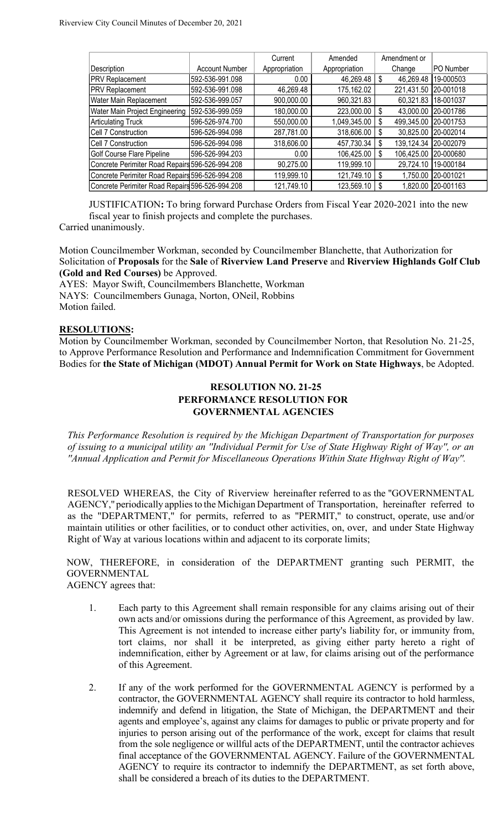|                                                 |                       | Current       | Amended         | Amendment or    |                     |
|-------------------------------------------------|-----------------------|---------------|-----------------|-----------------|---------------------|
| Description                                     | <b>Account Number</b> | Appropriation | Appropriation   | Change          | PO Number           |
| <b>PRV Replacement</b>                          | 592-536-991.098       | 0.00          | $46,269.48$ \$  | 46,269.48       | 19-000503           |
| <b>PRV Replacement</b>                          | 592-536-991.098       | 46,269.48     | 175,162.02      | 221,431.50      | 20-001018           |
| Water Main Replacement                          | 592-536-999.057       | 900,000.00    | 960,321.83      | 60,321.83       | 18-001037           |
| Water Main Project Engineering                  | 592-536-999.059       | 180,000.00    | 223,000.00 \$   | 43,000.00       | 20-001786           |
| <b>Articulating Truck</b>                       | 596-526-974.700       | 550,000.00    | 1,049,345.00    | 499,345.00<br>S | 20-001753           |
| Cell 7 Construction                             | 596-526-994.098       | 287,781.00    | $318,606.00$ \$ |                 | 30,825.00 20-002014 |
| Cell 7 Construction                             | 596-526-994.098       | 318,606.00    | 457,730.34 \$   | 139,124.34      | 20-002079           |
| Golf Course Flare Pipeline                      | 596-526-994.203       | 0.00          | 106,425.00      | 106,425.00<br>S | 20-000680           |
| Concrete Perimiter Road Repairs 596-526-994.208 |                       | 90,275.00     | 119,999.10      | 29,724.10       | 19-000184           |
| Concrete Perimiter Road Repairs 596-526-994.208 |                       | 119,999.10    | $121,749.10$ \$ | 1,750.00        | 20-001021           |
| Concrete Perimiter Road Repairs 596-526-994.208 |                       | 121,749.10    | 123,569.10   \$ | 1,820.00        | 20-001163           |

JUSTIFICATION**:** To bring forward Purchase Orders from Fiscal Year 2020-2021 into the new fiscal year to finish projects and complete the purchases.

Carried unanimously.

Motion Councilmember Workman, seconded by Councilmember Blanchette, that Authorization for Solicitation of **Proposals** for the **Sale** of **Riverview Land Preserve** and **Riverview Highlands Golf Club (Gold and Red Courses)** be Approved.

AYES: Mayor Swift, Councilmembers Blanchette, Workman NAYS: Councilmembers Gunaga, Norton, ONeil, Robbins Motion failed.

#### **RESOLUTIONS:**

Motion by Councilmember Workman, seconded by Councilmember Norton, that Resolution No. 21-25, to Approve Performance Resolution and Performance and Indemnification Commitment for Government Bodies for **the State of Michigan (MDOT) Annual Permit for Work on State Highways**, be Adopted.

## **RESOLUTION NO. 21-25 PERFORMANCE RESOLUTION FOR GOVERNMENTAL AGENCIES**

*This Performance Resolution is required by the Michigan Department of Transportation for purposes of issuing to a municipal utility an ''Individual Permit for Use of State Highway Right of Way'', or an ''Annual Application and Permit for Miscellaneous Operations Within State Highway Right of Way''.* 

RESOLVED WHEREAS, the City of Riverview hereinafter referred to as the ''GOVERNMENTAL AGENCY,'' periodically applies to the Michigan Department of Transportation, hereinafter referred to as the "DEPARTMENT," for permits, referred to as ''PERMIT,'' to construct, operate, use and/or maintain utilities or other facilities, or to conduct other activities, on, over, and under State Highway Right of Way at various locations within and adjacent to its corporate limits;

NOW, THEREFORE, in consideration of the DEPARTMENT granting such PERMIT, the GOVERNMENTAL AGENCY agrees that:

1. Each party to this Agreement shall remain responsible for any claims arising out of their own acts and/or omissions during the performance of this Agreement, as provided by law. This Agreement is not intended to increase either party's liability for, or immunity from, tort claims, nor shall it be interpreted, as giving either party hereto a right of indemnification, either by Agreement or at law, for claims arising out of the performance of this Agreement.

2. If any of the work performed for the GOVERNMENTAL AGENCY is performed by a contractor, the GOVERNMENTAL AGENCY shall require its contractor to hold harmless, indemnify and defend in litigation, the State of Michigan, the DEPARTMENT and their agents and employee's, against any claims for damages to public or private property and for injuries to person arising out of the performance of the work, except for claims that result from the sole negligence or willful acts of the DEPARTMENT, until the contractor achieves final acceptance of the GOVERNMENTAL AGENCY. Failure of the GOVERNMENTAL AGENCY to require its contractor to indemnify the DEPARTMENT, as set forth above, shall be considered a breach of its duties to the DEPARTMENT.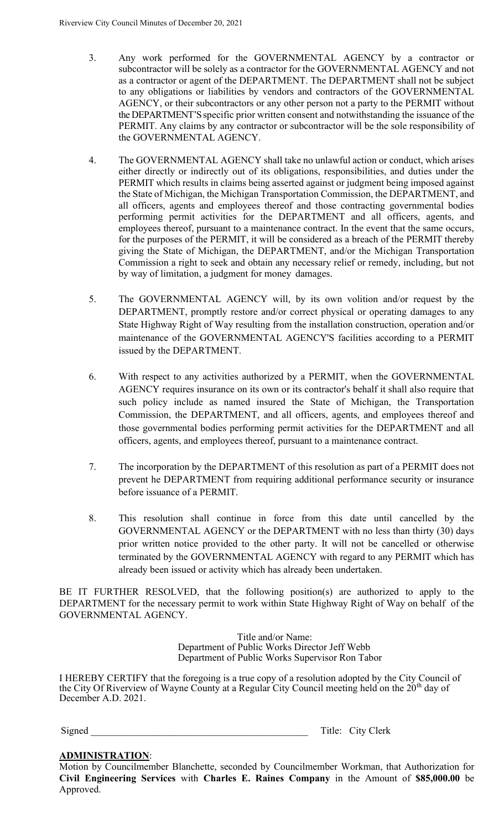- 3. Any work performed for the GOVERNMENTAL AGENCY by a contractor or subcontractor will be solely as a contractor for the GOVERNMENTAL AGENCY and not as a contractor or agent of the DEPARTMENT. The DEPARTMENT shall not be subject to any obligations or liabilities by vendors and contractors of the GOVERNMENTAL AGENCY, or their subcontractors or any other person not a party to the PERMIT without the DEPARTMENT'S specific prior written consent and notwithstanding the issuance of the PERMIT. Any claims by any contractor or subcontractor will be the sole responsibility of the GOVERNMENTAL AGENCY.
- 4. The GOVERNMENTAL AGENCY shall take no unlawful action or conduct, which arises either directly or indirectly out of its obligations, responsibilities, and duties under the PERMIT which results in claims being asserted against or judgment being imposed against the State of Michigan, the Michigan Transportation Commission, the DEPARTMENT, and all officers, agents and employees thereof and those contracting governmental bodies performing permit activities for the DEPARTMENT and all officers, agents, and employees thereof, pursuant to a maintenance contract. In the event that the same occurs, for the purposes of the PERMIT, it will be considered as a breach of the PERMIT thereby giving the State of Michigan, the DEPARTMENT, and/or the Michigan Transportation Commission a right to seek and obtain any necessary relief or remedy, including, but not by way of limitation, a judgment for money damages.
- 5. The GOVERNMENTAL AGENCY will, by its own volition and/or request by the DEPARTMENT, promptly restore and/or correct physical or operating damages to any State Highway Right of Way resulting from the installation construction, operation and/or maintenance of the GOVERNMENTAL AGENCY'S facilities according to a PERMIT issued by the DEPARTMENT.
- 6. With respect to any activities authorized by a PERMIT, when the GOVERNMENTAL AGENCY requires insurance on its own or its contractor's behalf it shall also require that such policy include as named insured the State of Michigan, the Transportation Commission, the DEPARTMENT, and all officers, agents, and employees thereof and those governmental bodies performing permit activities for the DEPARTMENT and all officers, agents, and employees thereof, pursuant to a maintenance contract.
- 7. The incorporation by the DEPARTMENT of this resolution as part of a PERMIT does not prevent he DEPARTMENT from requiring additional performance security or insurance before issuance of a PERMIT.
- 8. This resolution shall continue in force from this date until cancelled by the GOVERNMENTAL AGENCY or the DEPARTMENT with no less than thirty (30) days prior written notice provided to the other party. It will not be cancelled or otherwise terminated by the GOVERNMENTAL AGENCY with regard to any PERMIT which has already been issued or activity which has already been undertaken.

BE IT FURTHER RESOLVED, that the following position(s) are authorized to apply to the DEPARTMENT for the necessary permit to work within State Highway Right of Way on behalf of the GOVERNMENTAL AGENCY.

> Title and/or Name: Department of Public Works Director Jeff Webb Department of Public Works Supervisor Ron Tabor

I HEREBY CERTIFY that the foregoing is a true copy of a resolution adopted by the City Council of the City Of Riverview of Wayne County at a Regular City Council meeting held on the 20<sup>th</sup> day of December A.D. 2021.

Signed Title: City Clerk

# **ADMINISTRATION**:

Motion by Councilmember Blanchette, seconded by Councilmember Workman, that Authorization for **Civil Engineering Services** with **Charles E. Raines Company** in the Amount of **\$85,000.00** be Approved.